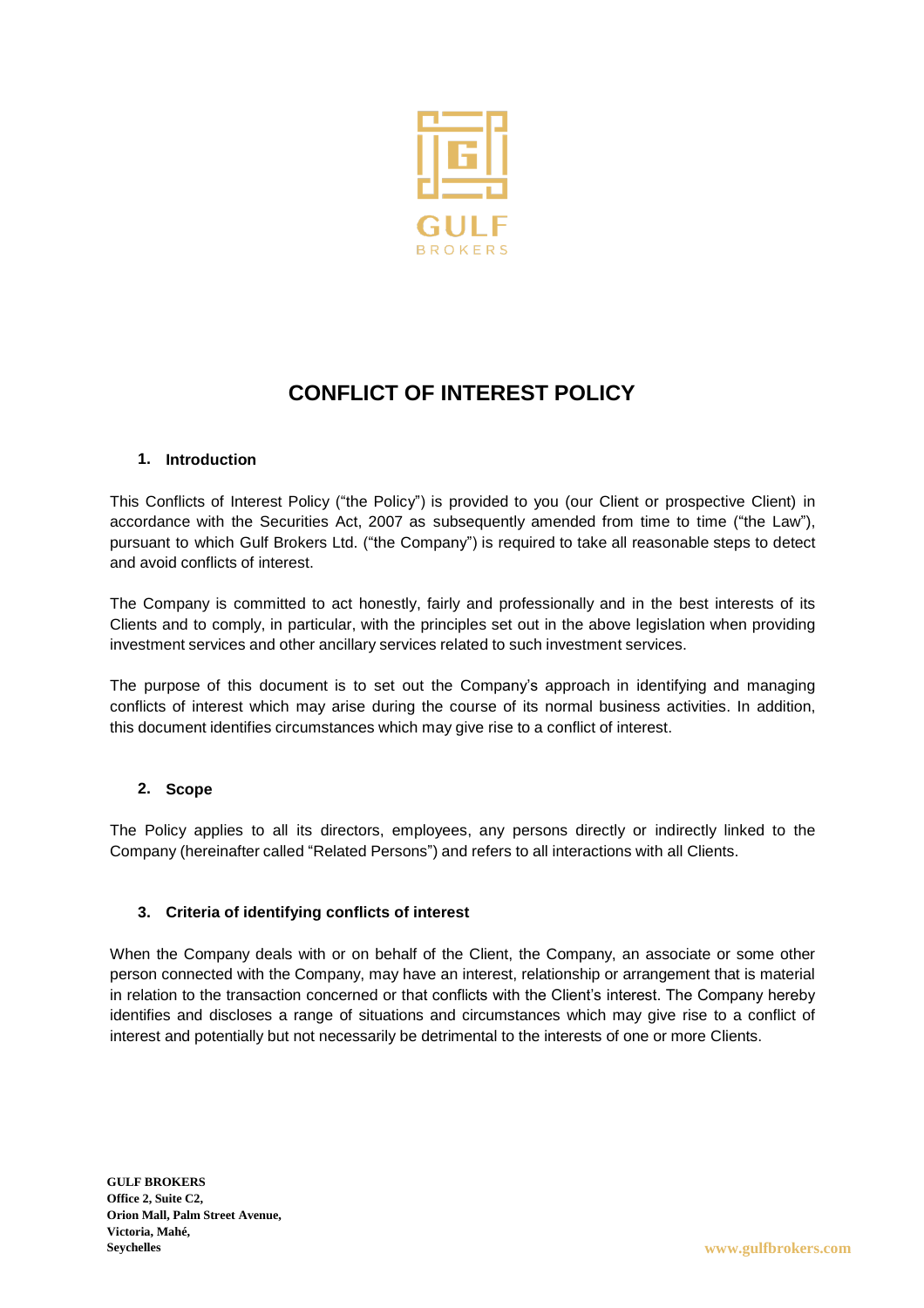

# **CONFLICT OF INTEREST POLICY**

## **1. Introduction**

This Conflicts of Interest Policy ("the Policy") is provided to you (our Client or prospective Client) in accordance with the Securities Act, 2007 as subsequently amended from time to time ("the Law"), pursuant to which Gulf Brokers Ltd. ("the Company") is required to take all reasonable steps to detect and avoid conflicts of interest.

The Company is committed to act honestly, fairly and professionally and in the best interests of its Clients and to comply, in particular, with the principles set out in the above legislation when providing investment services and other ancillary services related to such investment services.

The purpose of this document is to set out the Company's approach in identifying and managing conflicts of interest which may arise during the course of its normal business activities. In addition, this document identifies circumstances which may give rise to a conflict of interest.

#### **2. Scope**

The Policy applies to all its directors, employees, any persons directly or indirectly linked to the Company (hereinafter called "Related Persons") and refers to all interactions with all Clients.

#### **3. Criteria of identifying conflicts of interest**

When the Company deals with or on behalf of the Client, the Company, an associate or some other person connected with the Company, may have an interest, relationship or arrangement that is material in relation to the transaction concerned or that conflicts with the Client's interest. The Company hereby identifies and discloses a range of situations and circumstances which may give rise to a conflict of interest and potentially but not necessarily be detrimental to the interests of one or more Clients.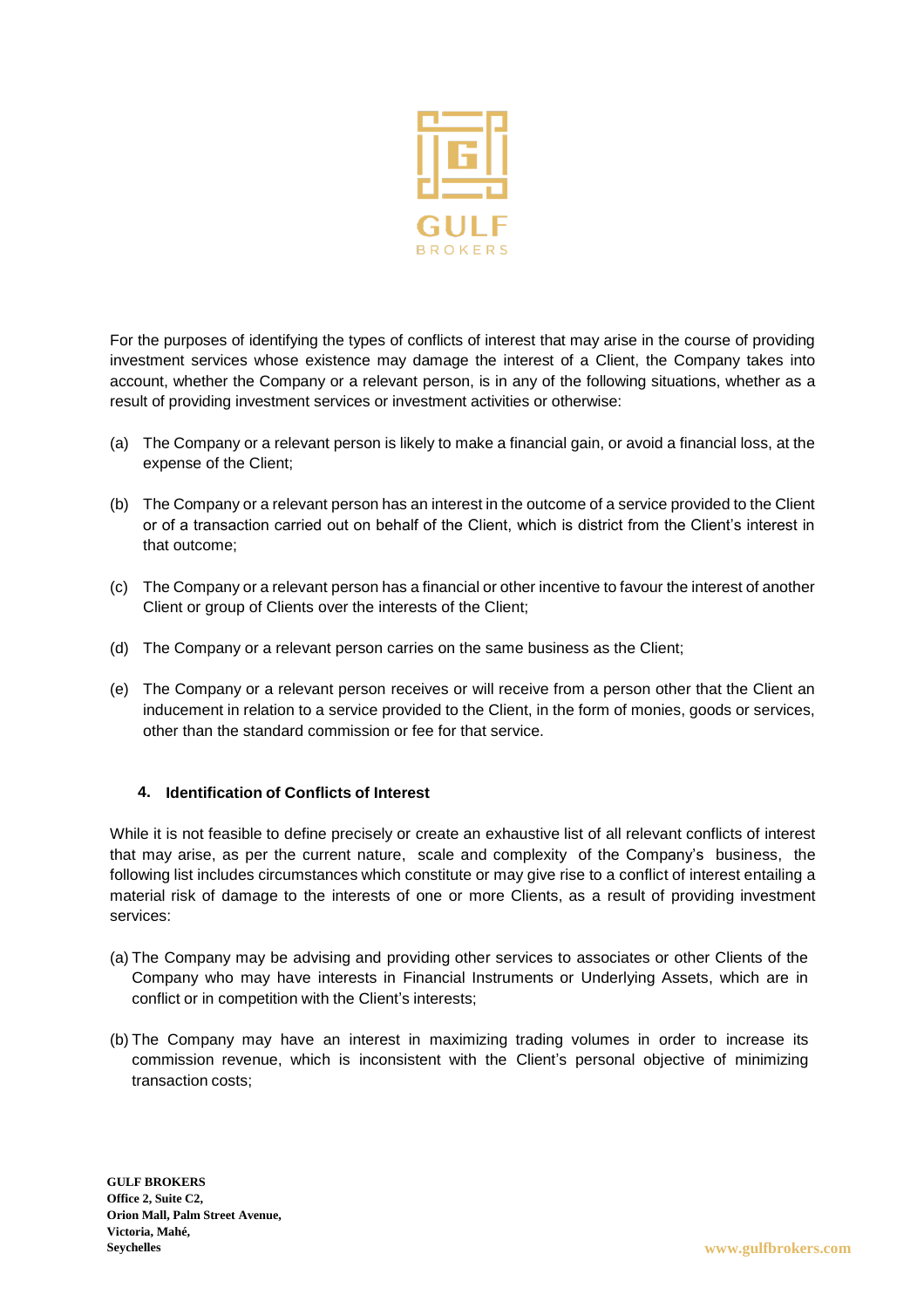

For the purposes of identifying the types of conflicts of interest that may arise in the course of providing investment services whose existence may damage the interest of a Client, the Company takes into account, whether the Company or a relevant person, is in any of the following situations, whether as a result of providing investment services or investment activities or otherwise:

- (a) The Company or a relevant person is likely to make a financial gain, or avoid a financial loss, at the expense of the Client;
- (b) The Company or a relevant person has an interest in the outcome of a service provided to the Client or of a transaction carried out on behalf of the Client, which is district from the Client's interest in that outcome;
- (c) The Company or a relevant person has a financial or other incentive to favour the interest of another Client or group of Clients over the interests of the Client;
- (d) The Company or a relevant person carries on the same business as the Client;
- (e) The Company or a relevant person receives or will receive from a person other that the Client an inducement in relation to a service provided to the Client, in the form of monies, goods or services, other than the standard commission or fee for that service.

#### **4. Identification of Conflicts of Interest**

While it is not feasible to define precisely or create an exhaustive list of all relevant conflicts of interest that may arise, as per the current nature, scale and complexity of the Company's business, the following list includes circumstances which constitute or may give rise to a conflict of interest entailing a material risk of damage to the interests of one or more Clients, as a result of providing investment services:

- (a) The Company may be advising and providing other services to associates or other Clients of the Company who may have interests in Financial Instruments or Underlying Assets, which are in conflict or in competition with the Client's interests;
- (b) The Company may have an interest in maximizing trading volumes in order to increase its commission revenue, which is inconsistent with the Client's personal objective of minimizing transaction costs;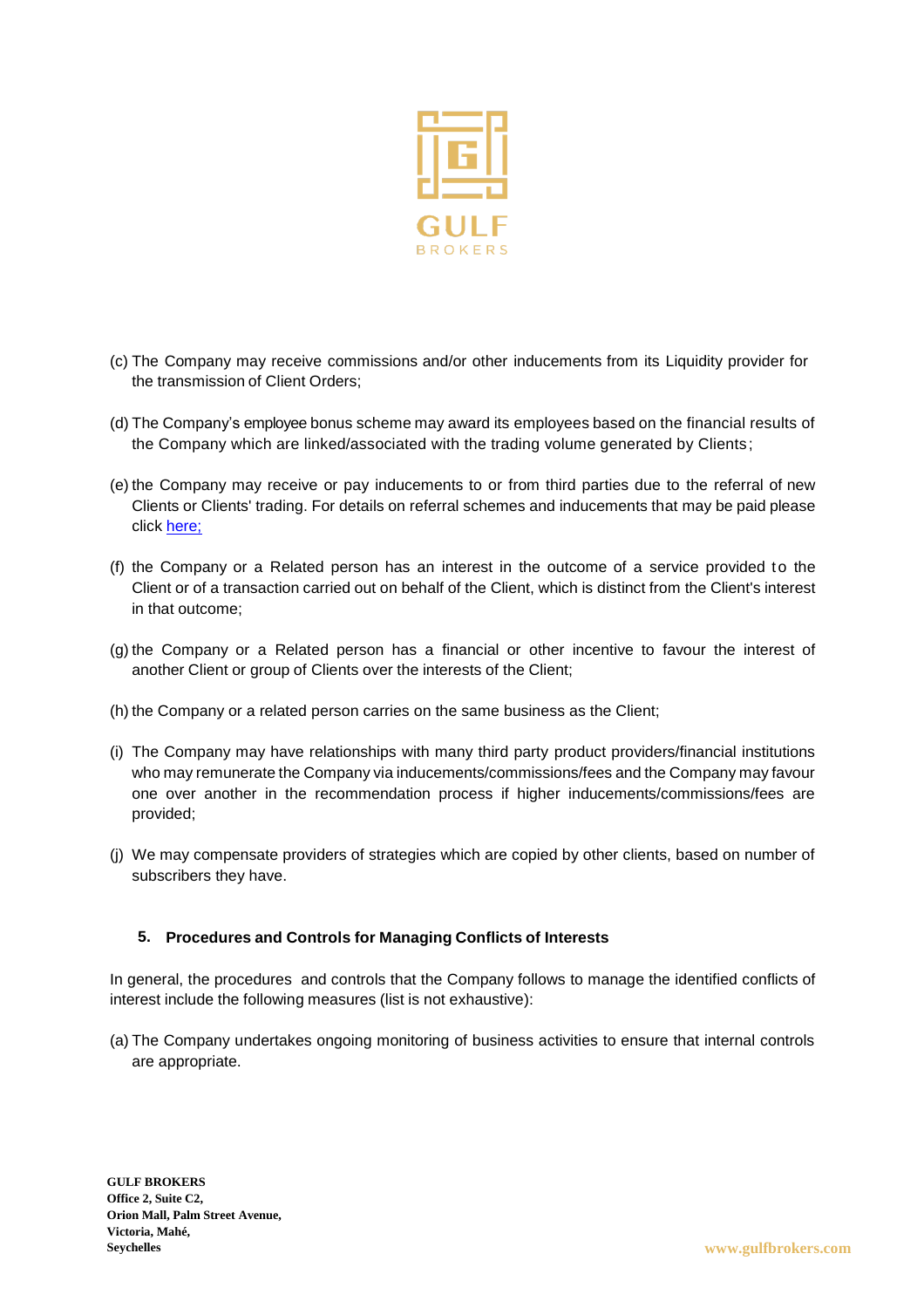

- (c) The Company may receive commissions and/or other inducements from its Liquidity provider for the transmission of Client Orders;
- (d) The Company's employee bonus scheme may award its employees based on the financial results of the Company which are linked/associated with the trading volume generated by Clients;
- (e) the Company may receive or pay inducements to or from third parties due to the referral of new Clients or Clients' trading. For details on referral schemes and inducements that may be paid please click [here;](https://www.topforex.com/partners/introducing-broker/)
- (f) the Company or a Related person has an interest in the outcome of a service provided to the Client or of a transaction carried out on behalf of the Client, which is distinct from the Client's interest in that outcome;
- (g) the Company or a Related person has a financial or other incentive to favour the interest of another Client or group of Clients over the interests of the Client;
- (h) the Company or a related person carries on the same business as the Client;
- (i) The Company may have relationships with many third party product providers/financial institutions who may remunerate the Company via inducements/commissions/fees and the Company may favour one over another in the recommendation process if higher inducements/commissions/fees are provided;
- (j) We may compensate providers of strategies which are copied by other clients, based on number of subscribers they have.

#### **5. Procedures and Controls for Managing Conflicts of Interests**

In general, the procedures and controls that the Company follows to manage the identified conflicts of interest include the following measures (list is not exhaustive):

(a) The Company undertakes ongoing monitoring of business activities to ensure that internal controls are appropriate.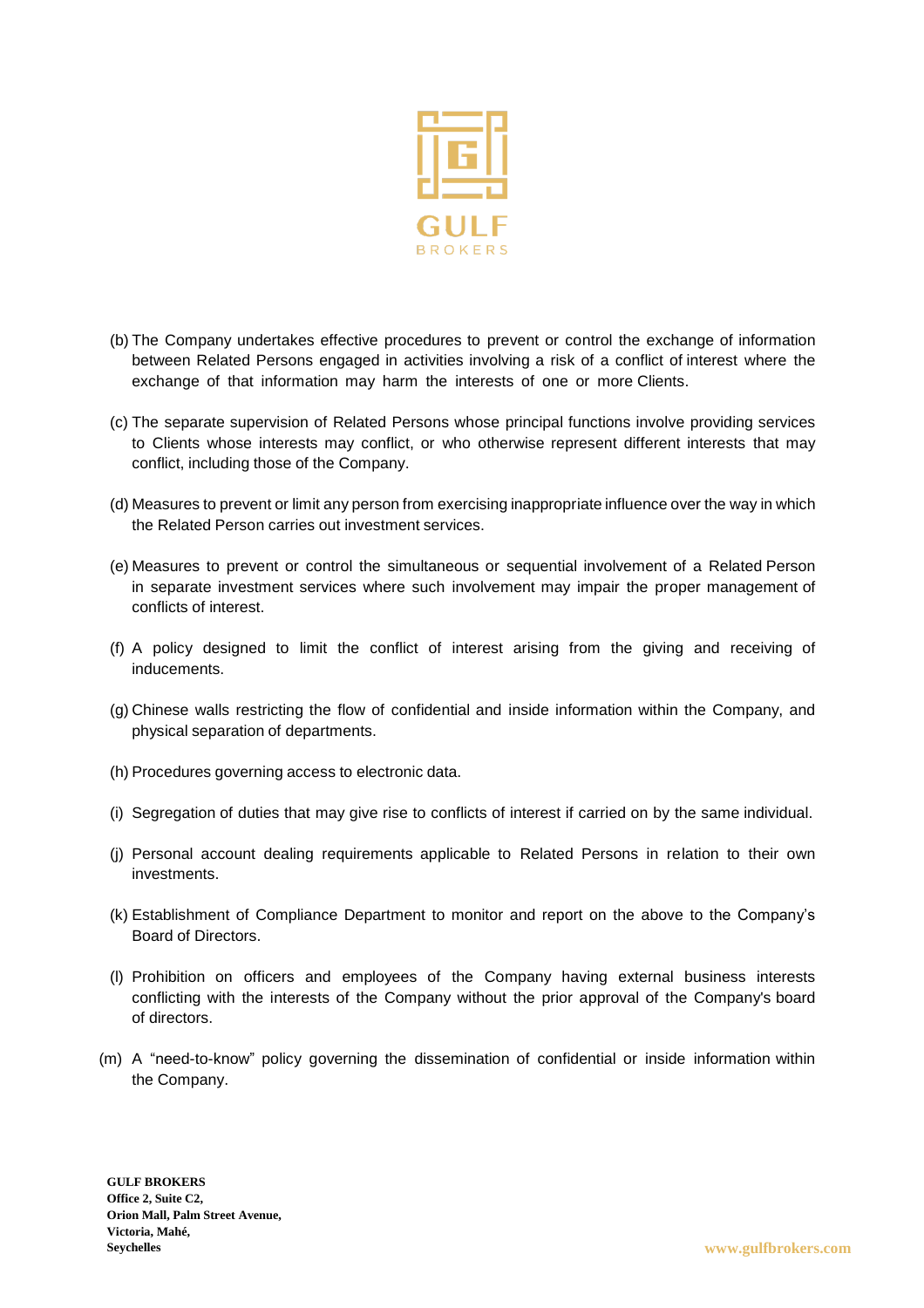

- (b) The Company undertakes effective procedures to prevent or control the exchange of information between Related Persons engaged in activities involving a risk of a conflict of interest where the exchange of that information may harm the interests of one or more Clients.
- (c) The separate supervision of Related Persons whose principal functions involve providing services to Clients whose interests may conflict, or who otherwise represent different interests that may conflict, including those of the Company.
- (d) Measures to prevent or limit any person from exercising inappropriate influence over the way in which the Related Person carries out investment services.
- (e) Measures to prevent or control the simultaneous or sequential involvement of a Related Person in separate investment services where such involvement may impair the proper management of conflicts of interest.
- (f) A policy designed to limit the conflict of interest arising from the giving and receiving of inducements.
- (g) Chinese walls restricting the flow of confidential and inside information within the Company, and physical separation of departments.
- (h) Procedures governing access to electronic data.
- (i) Segregation of duties that may give rise to conflicts of interest if carried on by the same individual.
- (j) Personal account dealing requirements applicable to Related Persons in relation to their own investments.
- (k) Establishment of Compliance Department to monitor and report on the above to the Company's Board of Directors.
- (l) Prohibition on officers and employees of the Company having external business interests conflicting with the interests of the Company without the prior approval of the Company's board of directors.
- (m) A "need-to-know" policy governing the dissemination of confidential or inside information within the Company.